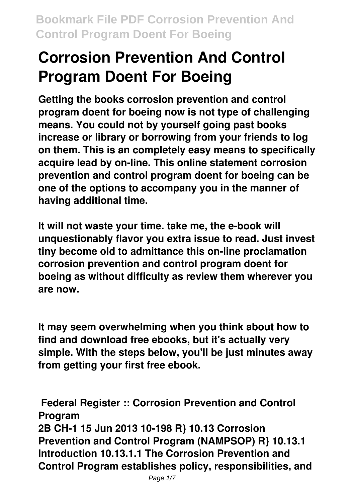# **Corrosion Prevention And Control Program Doent For Boeing**

**Getting the books corrosion prevention and control program doent for boeing now is not type of challenging means. You could not by yourself going past books increase or library or borrowing from your friends to log on them. This is an completely easy means to specifically acquire lead by on-line. This online statement corrosion prevention and control program doent for boeing can be one of the options to accompany you in the manner of having additional time.**

**It will not waste your time. take me, the e-book will unquestionably flavor you extra issue to read. Just invest tiny become old to admittance this on-line proclamation corrosion prevention and control program doent for boeing as without difficulty as review them wherever you are now.**

**It may seem overwhelming when you think about how to find and download free ebooks, but it's actually very simple. With the steps below, you'll be just minutes away from getting your first free ebook.**

**Federal Register :: Corrosion Prevention and Control Program 2B CH-1 15 Jun 2013 10-198 R} 10.13 Corrosion Prevention and Control Program (NAMPSOP) R} 10.13.1 Introduction 10.13.1.1 The Corrosion Prevention and Control Program establishes policy, responsibilities, and**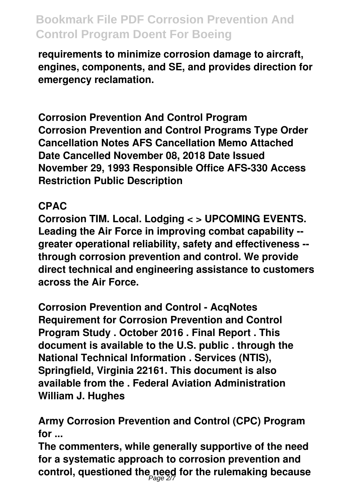**requirements to minimize corrosion damage to aircraft, engines, components, and SE, and provides direction for emergency reclamation.**

**Corrosion Prevention And Control Program Corrosion Prevention and Control Programs Type Order Cancellation Notes AFS Cancellation Memo Attached Date Cancelled November 08, 2018 Date Issued November 29, 1993 Responsible Office AFS-330 Access Restriction Public Description**

#### **CPAC**

**Corrosion TIM. Local. Lodging < > UPCOMING EVENTS. Leading the Air Force in improving combat capability - greater operational reliability, safety and effectiveness - through corrosion prevention and control. We provide direct technical and engineering assistance to customers across the Air Force.**

**Corrosion Prevention and Control - AcqNotes Requirement for Corrosion Prevention and Control Program Study . October 2016 . Final Report . This document is available to the U.S. public . through the National Technical Information . Services (NTIS), Springfield, Virginia 22161. This document is also available from the . Federal Aviation Administration William J. Hughes**

**Army Corrosion Prevention and Control (CPC) Program for ...**

**The commenters, while generally supportive of the need for a systematic approach to corrosion prevention and control, questioned the need for the rulemaking because** Page 2/7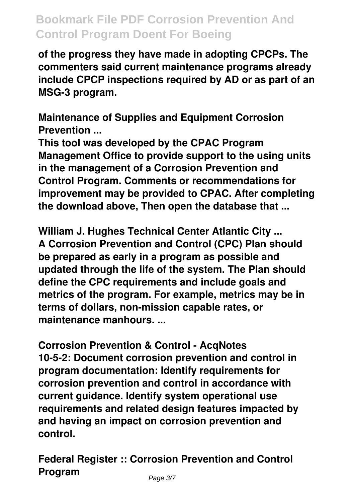**of the progress they have made in adopting CPCPs. The commenters said current maintenance programs already include CPCP inspections required by AD or as part of an MSG-3 program.**

**Maintenance of Supplies and Equipment Corrosion Prevention ...**

**This tool was developed by the CPAC Program Management Office to provide support to the using units in the management of a Corrosion Prevention and Control Program. Comments or recommendations for improvement may be provided to CPAC. After completing the download above, Then open the database that ...**

**William J. Hughes Technical Center Atlantic City ... A Corrosion Prevention and Control (CPC) Plan should be prepared as early in a program as possible and updated through the life of the system. The Plan should define the CPC requirements and include goals and metrics of the program. For example, metrics may be in terms of dollars, non-mission capable rates, or maintenance manhours. ...**

**Corrosion Prevention & Control - AcqNotes 10-5-2: Document corrosion prevention and control in program documentation: Identify requirements for corrosion prevention and control in accordance with current guidance. Identify system operational use requirements and related design features impacted by and having an impact on corrosion prevention and control.**

**Federal Register :: Corrosion Prevention and Control Program** Page 3/7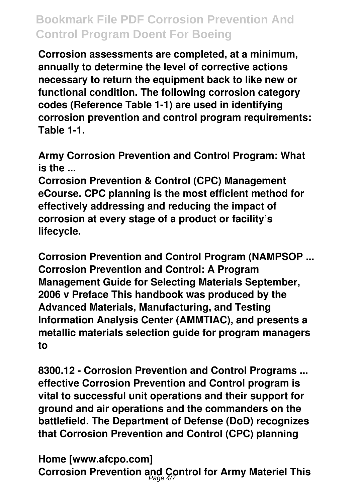**Corrosion assessments are completed, at a minimum, annually to determine the level of corrective actions necessary to return the equipment back to like new or functional condition. The following corrosion category codes (Reference Table 1-1) are used in identifying corrosion prevention and control program requirements: Table 1-1.**

**Army Corrosion Prevention and Control Program: What is the ...**

**Corrosion Prevention & Control (CPC) Management eCourse. CPC planning is the most efficient method for effectively addressing and reducing the impact of corrosion at every stage of a product or facility's lifecycle.**

**Corrosion Prevention and Control Program (NAMPSOP ... Corrosion Prevention and Control: A Program Management Guide for Selecting Materials September, 2006 v Preface This handbook was produced by the Advanced Materials, Manufacturing, and Testing Information Analysis Center (AMMTIAC), and presents a metallic materials selection guide for program managers to**

**8300.12 - Corrosion Prevention and Control Programs ... effective Corrosion Prevention and Control program is vital to successful unit operations and their support for ground and air operations and the commanders on the battlefield. The Department of Defense (DoD) recognizes that Corrosion Prevention and Control (CPC) planning**

**Home [www.afcpo.com] Corrosion Prevention and Control for Army Materiel This** Page 4/7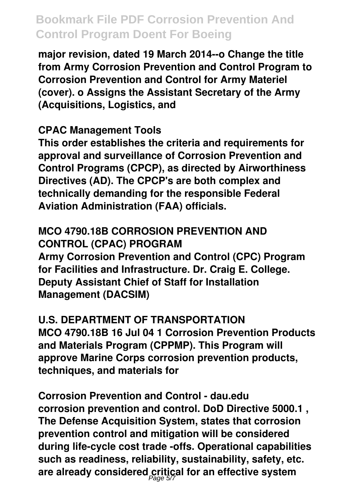**major revision, dated 19 March 2014--o Change the title from Army Corrosion Prevention and Control Program to Corrosion Prevention and Control for Army Materiel (cover). o Assigns the Assistant Secretary of the Army (Acquisitions, Logistics, and**

#### **CPAC Management Tools**

**This order establishes the criteria and requirements for approval and surveillance of Corrosion Prevention and Control Programs (CPCP), as directed by Airworthiness Directives (AD). The CPCP's are both complex and technically demanding for the responsible Federal Aviation Administration (FAA) officials.**

### **MCO 4790.18B CORROSION PREVENTION AND CONTROL (CPAC) PROGRAM**

**Army Corrosion Prevention and Control (CPC) Program for Facilities and Infrastructure. Dr. Craig E. College. Deputy Assistant Chief of Staff for Installation Management (DACSIM)**

#### **U.S. DEPARTMENT OF TRANSPORTATION**

**MCO 4790.18B 16 Jul 04 1 Corrosion Prevention Products and Materials Program (CPPMP). This Program will approve Marine Corps corrosion prevention products, techniques, and materials for**

**Corrosion Prevention and Control - dau.edu corrosion prevention and control. DoD Directive 5000.1 , The Defense Acquisition System, states that corrosion prevention control and mitigation will be considered during life-cycle cost trade -offs. Operational capabilities such as readiness, reliability, sustainability, safety, etc.** are already considered critical for an effective system